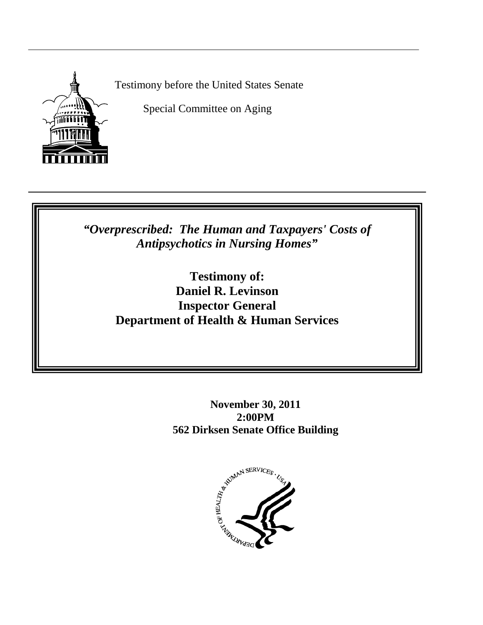

Testimony before the United States Senate

Special Committee on Aging

*"Overprescribed: The Human and Taxpayers' Costs of Antipsychotics in Nursing Homes"*

> **Testimony of: Daniel R. Levinson Inspector General Department of Health & Human Services**

> > **November 30, 2011 2:00PM 562 Dirksen Senate Office Building**

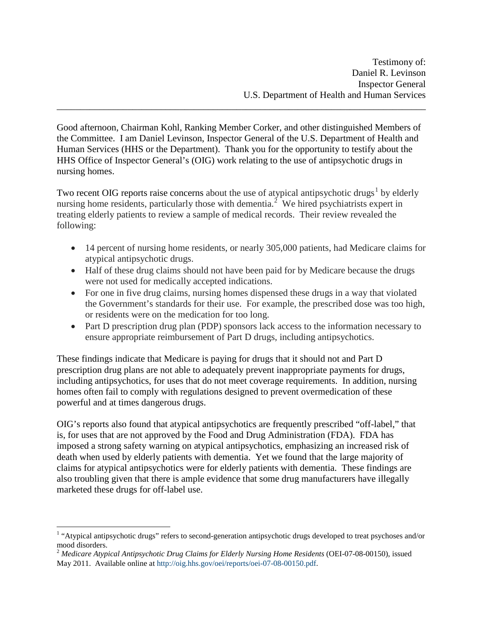Good afternoon, Chairman Kohl, Ranking Member Corker, and other distinguished Members of the Committee. I am Daniel Levinson, Inspector General of the U.S. Department of Health and Human Services (HHS or the Department). Thank you for the opportunity to testify about the HHS Office of Inspector General's (OIG) work relating to the use of antipsychotic drugs in nursing homes.

\_\_\_\_\_\_\_\_\_\_\_\_\_\_\_\_\_\_\_\_\_\_\_\_\_\_\_\_\_\_\_\_\_\_\_\_\_\_\_\_\_\_\_\_\_\_\_\_\_\_\_\_\_\_\_\_\_\_\_\_\_\_\_\_\_\_\_\_\_\_\_\_\_\_\_\_\_\_

Two recent OIG reports raise concerns about the use of atypical antipsychotic drugs<sup>[1](#page-1-0)</sup> by elderly nursing home residents, particularly those with dementia.<sup>[2](#page-1-1)</sup> We hired psychiatrists expert in treating elderly patients to review a sample of medical records. Their review revealed the following:

- 14 percent of nursing home residents, or nearly 305,000 patients, had Medicare claims for atypical antipsychotic drugs.
- Half of these drug claims should not have been paid for by Medicare because the drugs were not used for medically accepted indications.
- For one in five drug claims, nursing homes dispensed these drugs in a way that violated the Government's standards for their use. For example, the prescribed dose was too high, or residents were on the medication for too long.
- Part D prescription drug plan (PDP) sponsors lack access to the information necessary to ensure appropriate reimbursement of Part D drugs, including antipsychotics.

These findings indicate that Medicare is paying for drugs that it should not and Part D prescription drug plans are not able to adequately prevent inappropriate payments for drugs, including antipsychotics, for uses that do not meet coverage requirements. In addition, nursing homes often fail to comply with regulations designed to prevent overmedication of these powerful and at times dangerous drugs.

OIG's reports also found that atypical antipsychotics are frequently prescribed "off-label," that is, for uses that are not approved by the Food and Drug Administration (FDA). FDA has imposed a strong safety warning on atypical antipsychotics, emphasizing an increased risk of death when used by elderly patients with dementia. Yet we found that the large majority of claims for atypical antipsychotics were for elderly patients with dementia. These findings are also troubling given that there is ample evidence that some drug manufacturers have illegally marketed these drugs for off-label use.

<span id="page-1-0"></span><sup>&</sup>lt;sup>1</sup> "Atypical antipsychotic drugs" refers to second-generation antipsychotic drugs developed to treat psychoses and/or mood disorders.

<span id="page-1-1"></span><sup>2</sup> *Medicare Atypical Antipsychotic Drug Claims for Elderly Nursing Home Residents* (OEI-07-08-00150), issued May 2011. Available online at <http://oig.hhs.gov/oei/reports/oei-07-08-00150.pdf>.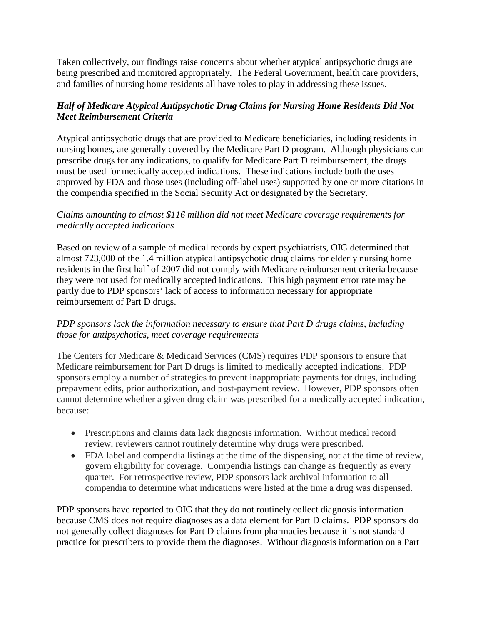Taken collectively, our findings raise concerns about whether atypical antipsychotic drugs are being prescribed and monitored appropriately. The Federal Government, health care providers, and families of nursing home residents all have roles to play in addressing these issues.

# *Half of Medicare Atypical Antipsychotic Drug Claims for Nursing Home Residents Did Not Meet Reimbursement Criteria*

Atypical antipsychotic drugs that are provided to Medicare beneficiaries, including residents in nursing homes, are generally covered by the Medicare Part D program. Although physicians can prescribe drugs for any indications, to qualify for Medicare Part D reimbursement, the drugs must be used for medically accepted indications. These indications include both the uses approved by FDA and those uses (including off-label uses) supported by one or more citations in the compendia specified in the Social Security Act or designated by the Secretary.

### *Claims amounting to almost \$116 million did not meet Medicare coverage requirements for medically accepted indications*

Based on review of a sample of medical records by expert psychiatrists, OIG determined that almost 723,000 of the 1.4 million atypical antipsychotic drug claims for elderly nursing home residents in the first half of 2007 did not comply with Medicare reimbursement criteria because they were not used for medically accepted indications. This high payment error rate may be partly due to PDP sponsors' lack of access to information necessary for appropriate reimbursement of Part D drugs.

### *PDP sponsors lack the information necessary to ensure that Part D drugs claims, including those for antipsychotics, meet coverage requirements*

The Centers for Medicare & Medicaid Services (CMS) requires PDP sponsors to ensure that Medicare reimbursement for Part D drugs is limited to medically accepted indications. PDP sponsors employ a number of strategies to prevent inappropriate payments for drugs, including prepayment edits, prior authorization, and post-payment review. However, PDP sponsors often cannot determine whether a given drug claim was prescribed for a medically accepted indication, because:

- Prescriptions and claims data lack diagnosis information. Without medical record review, reviewers cannot routinely determine why drugs were prescribed.
- FDA label and compendia listings at the time of the dispensing, not at the time of review, govern eligibility for coverage. Compendia listings can change as frequently as every quarter. For retrospective review, PDP sponsors lack archival information to all compendia to determine what indications were listed at the time a drug was dispensed.

PDP sponsors have reported to OIG that they do not routinely collect diagnosis information because CMS does not require diagnoses as a data element for Part D claims. PDP sponsors do not generally collect diagnoses for Part D claims from pharmacies because it is not standard practice for prescribers to provide them the diagnoses. Without diagnosis information on a Part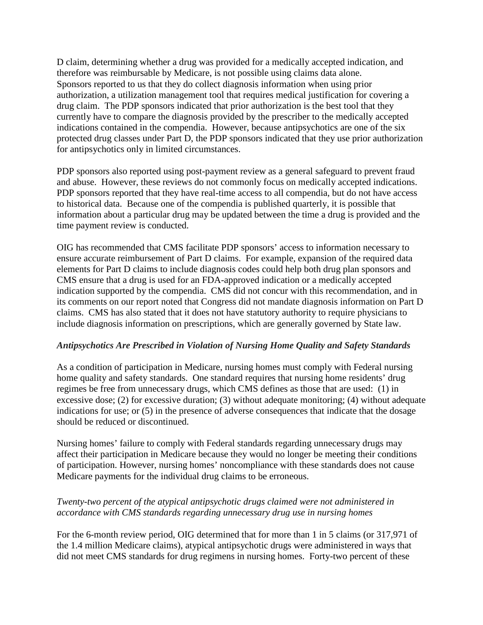D claim, determining whether a drug was provided for a medically accepted indication, and therefore was reimbursable by Medicare, is not possible using claims data alone. Sponsors reported to us that they do collect diagnosis information when using prior authorization, a utilization management tool that requires medical justification for covering a drug claim. The PDP sponsors indicated that prior authorization is the best tool that they currently have to compare the diagnosis provided by the prescriber to the medically accepted indications contained in the compendia. However, because antipsychotics are one of the six protected drug classes under Part D, the PDP sponsors indicated that they use prior authorization for antipsychotics only in limited circumstances.

PDP sponsors also reported using post-payment review as a general safeguard to prevent fraud and abuse. However, these reviews do not commonly focus on medically accepted indications. PDP sponsors reported that they have real-time access to all compendia, but do not have access to historical data. Because one of the compendia is published quarterly, it is possible that information about a particular drug may be updated between the time a drug is provided and the time payment review is conducted.

OIG has recommended that CMS facilitate PDP sponsors' access to information necessary to ensure accurate reimbursement of Part D claims. For example, expansion of the required data elements for Part D claims to include diagnosis codes could help both drug plan sponsors and CMS ensure that a drug is used for an FDA-approved indication or a medically accepted indication supported by the compendia. CMS did not concur with this recommendation, and in its comments on our report noted that Congress did not mandate diagnosis information on Part D claims. CMS has also stated that it does not have statutory authority to require physicians to include diagnosis information on prescriptions, which are generally governed by State law.

#### *Antipsychotics Are Prescribed in Violation of Nursing Home Quality and Safety Standards*

As a condition of participation in Medicare, nursing homes must comply with Federal nursing home quality and safety standards. One standard requires that nursing home residents' drug regimes be free from unnecessary drugs, which CMS defines as those that are used: (1) in excessive dose; (2) for excessive duration; (3) without adequate monitoring; (4) without adequate indications for use; or (5) in the presence of adverse consequences that indicate that the dosage should be reduced or discontinued.

Nursing homes' failure to comply with Federal standards regarding unnecessary drugs may affect their participation in Medicare because they would no longer be meeting their conditions of participation. However, nursing homes' noncompliance with these standards does not cause Medicare payments for the individual drug claims to be erroneous.

### *Twenty-two percent of the atypical antipsychotic drugs claimed were not administered in accordance with CMS standards regarding unnecessary drug use in nursing homes*

For the 6-month review period, OIG determined that for more than 1 in 5 claims (or 317,971 of the 1.4 million Medicare claims), atypical antipsychotic drugs were administered in ways that did not meet CMS standards for drug regimens in nursing homes. Forty-two percent of these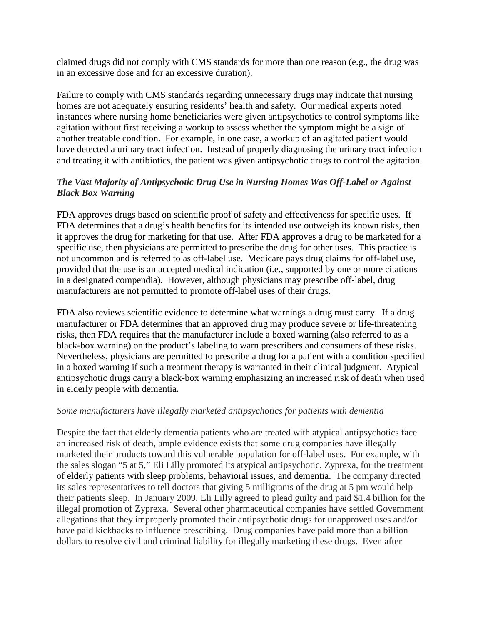claimed drugs did not comply with CMS standards for more than one reason (e.g., the drug was in an excessive dose and for an excessive duration).

Failure to comply with CMS standards regarding unnecessary drugs may indicate that nursing homes are not adequately ensuring residents' health and safety. Our medical experts noted instances where nursing home beneficiaries were given antipsychotics to control symptoms like agitation without first receiving a workup to assess whether the symptom might be a sign of another treatable condition. For example, in one case, a workup of an agitated patient would have detected a urinary tract infection. Instead of properly diagnosing the urinary tract infection and treating it with antibiotics, the patient was given antipsychotic drugs to control the agitation.

# *The Vast Majority of Antipsychotic Drug Use in Nursing Homes Was Off-Label or Against Black Box Warning*

FDA approves drugs based on scientific proof of safety and effectiveness for specific uses. If FDA determines that a drug's health benefits for its intended use outweigh its known risks, then it approves the drug for marketing for that use. After FDA approves a drug to be marketed for a specific use, then physicians are permitted to prescribe the drug for other uses. This practice is not uncommon and is referred to as off-label use. Medicare pays drug claims for off-label use, provided that the use is an accepted medical indication (i.e., supported by one or more citations in a designated compendia). However, although physicians may prescribe off-label, drug manufacturers are not permitted to promote off-label uses of their drugs.

FDA also reviews scientific evidence to determine what warnings a drug must carry. If a drug manufacturer or FDA determines that an approved drug may produce severe or life-threatening risks, then FDA requires that the manufacturer include a boxed warning (also referred to as a black-box warning) on the product's labeling to warn prescribers and consumers of these risks. Nevertheless, physicians are permitted to prescribe a drug for a patient with a condition specified in a boxed warning if such a treatment therapy is warranted in their clinical judgment. Atypical antipsychotic drugs carry a black-box warning emphasizing an increased risk of death when used in elderly people with dementia.

### *Some manufacturers have illegally marketed antipsychotics for patients with dementia*

Despite the fact that elderly dementia patients who are treated with atypical antipsychotics face an increased risk of death, ample evidence exists that some drug companies have illegally marketed their products toward this vulnerable population for off-label uses. For example, with the sales slogan "5 at 5," Eli Lilly promoted its atypical antipsychotic, Zyprexa, for the treatment of elderly patients with sleep problems, behavioral issues, and dementia. The company directed its sales representatives to tell doctors that giving 5 milligrams of the drug at 5 pm would help their patients sleep. In January 2009, Eli Lilly agreed to plead guilty and paid \$1.4 billion for the illegal promotion of Zyprexa. Several other pharmaceutical companies have settled Government allegations that they improperly promoted their antipsychotic drugs for unapproved uses and/or have paid kickbacks to influence prescribing. Drug companies have paid more than a billion dollars to resolve civil and criminal liability for illegally marketing these drugs. Even after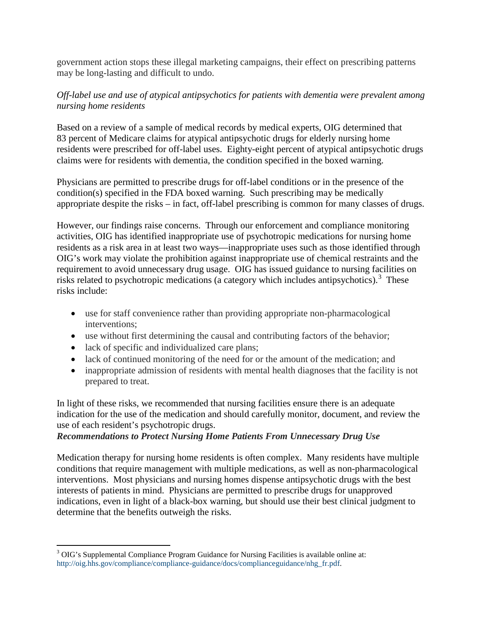government action stops these illegal marketing campaigns, their effect on prescribing patterns may be long-lasting and difficult to undo.

### *Off-label use and use of atypical antipsychotics for patients with dementia were prevalent among nursing home residents*

Based on a review of a sample of medical records by medical experts, OIG determined that 83 percent of Medicare claims for atypical antipsychotic drugs for elderly nursing home residents were prescribed for off-label uses. Eighty-eight percent of atypical antipsychotic drugs claims were for residents with dementia, the condition specified in the boxed warning.

Physicians are permitted to prescribe drugs for off-label conditions or in the presence of the condition(s) specified in the FDA boxed warning. Such prescribing may be medically appropriate despite the risks – in fact, off-label prescribing is common for many classes of drugs.

However, our findings raise concerns. Through our enforcement and compliance monitoring activities, OIG has identified inappropriate use of psychotropic medications for nursing home residents as a risk area in at least two ways—inappropriate uses such as those identified through OIG's work may violate the prohibition against inappropriate use of chemical restraints and the requirement to avoid unnecessary drug usage. OIG has issued guidance to nursing facilities on risks related to psychotropic medications (a category which includes antipsychotics).<sup>[3](#page-5-0)</sup> These risks include:

- use for staff convenience rather than providing appropriate non-pharmacological interventions;
- use without first determining the causal and contributing factors of the behavior;
- lack of specific and individualized care plans;
- lack of continued monitoring of the need for or the amount of the medication; and
- inappropriate admission of residents with mental health diagnoses that the facility is not prepared to treat.

In light of these risks, we recommended that nursing facilities ensure there is an adequate indication for the use of the medication and should carefully monitor, document, and review the use of each resident's psychotropic drugs.

### *Recommendations to Protect Nursing Home Patients From Unnecessary Drug Use*

Medication therapy for nursing home residents is often complex. Many residents have multiple conditions that require management with multiple medications, as well as non-pharmacological interventions. Most physicians and nursing homes dispense antipsychotic drugs with the best interests of patients in mind. Physicians are permitted to prescribe drugs for unapproved indications, even in light of a black-box warning, but should use their best clinical judgment to determine that the benefits outweigh the risks.

<span id="page-5-0"></span><sup>&</sup>lt;sup>3</sup> OIG's Supplemental Compliance Program Guidance for Nursing Facilities is available online at: [http://oig.hhs.gov/compliance/compliance-guidance/docs/complianceguidance/nhg\\_fr.pdf.](http://oig.hhs.gov/compliance/compliance-guidance/docs/complianceguidance/nhg_fr.pdf)